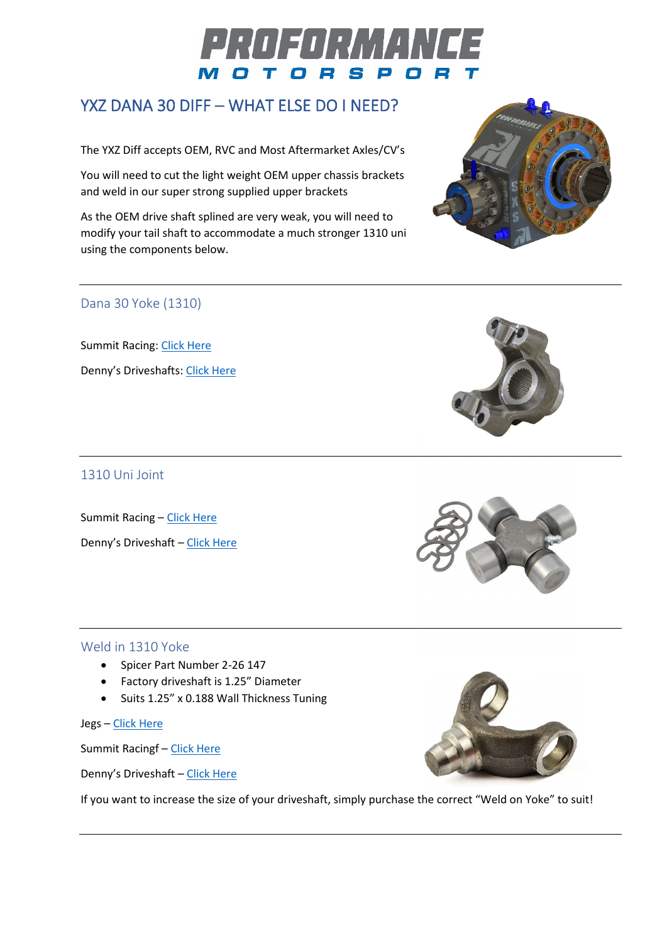

# YXZ DANA 30 DIFF – WHAT ELSE DO I NEED?

The YXZ Diff accepts OEM, RVC and Most Aftermarket Axles/CV's

You will need to cut the light weight OEM upper chassis brackets and weld in our super strong supplied upper brackets

As the OEM drive shaft splined are very weak, you will need to modify your tail shaft to accommodate a much stronger 1310 uni using the components below.

# Dana 30 Yoke (1310)

Summit Racing: [Click Here](https://www.summitracing.com/parts/cwa-83503388) Denny's Driveshafts: [Click Here](https://www.dennysdriveshaft.com/p48_dana_30_pinion_yoke__1310_series_26_spline.html)

## 1310 Uni Joint

Summit Racing - [Click Here](https://www.summitracing.com/search/part-type/u-joints?N=universal-joint-style%3Aspicer-1310&PageSize=25&SortBy=DisplayPrice&SortOrder=Ascending) Denny's Driveshaft – [Click Here](https://www.dennysdriveshaft.com/p11826_dana_spicer_5_1310x_universal_joint_1310_series_maintenance_.html)

#### Weld in 1310 Yoke

- Spicer Part Number 2-26 147
- Factory driveshaft is 1.25" Diameter
- Suits 1.25" x 0.188 Wall Thickness Tuning

Jegs – [Click Here](https://www.jegs.com/i/Dana-Spicer/094/2-26-147/10002/-1)

Summit Racingf - [Click Here](https://www.summitracing.com/parts/sdh-2-26-147)

Denny's Driveshaft - [Click Here](https://www.dennysdriveshaft.com/p4125_dana_spicer_2_26_147_weld_yoke_1310_series_to_fit_1.25_inch_.html)

If you want to increase the size of your driveshaft, simply purchase the correct "Weld on Yoke" to suit!





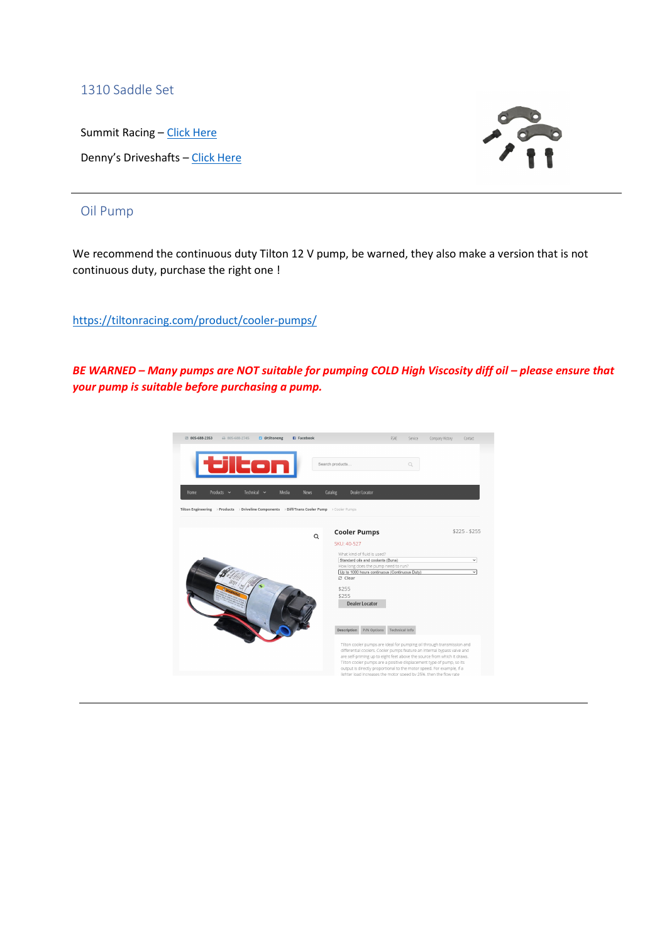#### 1310 Saddle Set

Summit Racing - [Click Here](https://www.summitracing.com/parts/yga-41195) Denny's Driveshafts – [Click Here](https://www.dennysdriveshaft.com/p670_dana_spicer_2_70_18x_strap_and_bolt_set_fits_dana_30_pinion_.html)



## Oil Pump

We recommend the continuous duty Tilton 12 V pump, be warned, they also make a version that is not continuous duty, purchase the right one !

<https://tiltonracing.com/product/cooler-pumps/>

*BE WARNED – Many pumps are NOT suitable for pumping COLD High Viscosity diff oil – please ensure that your pump is suitable before purchasing a pump.*